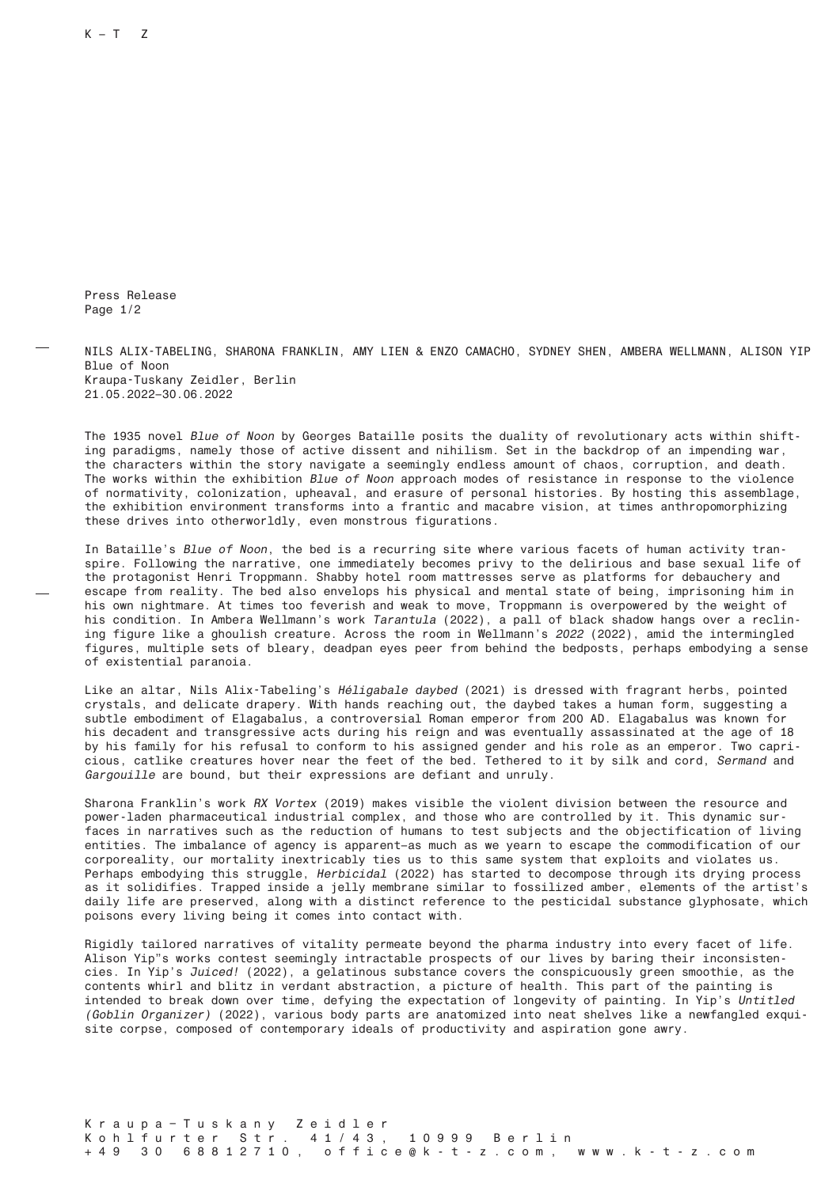Press Release Page 1/2

NILS ALIX-TABELING, SHARONA FRANKLIN, AMY LIEN & ENZO CAMACHO, SYDNEY SHEN, AMBERA WELLMANN, ALISON YIP Blue of Noon Kraupa-Tuskany Zeidler, Berlin 21.05.2022–30.06.2022

The 1935 novel Blue of Noon by Georges Bataille posits the duality of revolutionary acts within shifting paradigms, namely those of active dissent and nihilism. Set in the backdrop of an impending war, the characters within the story navigate a seemingly endless amount of chaos, corruption, and death. The works within the exhibition Blue of Noon approach modes of resistance in response to the violence of normativity, colonization, upheaval, and erasure of personal histories. By hosting this assemblage, the exhibition environment transforms into a frantic and macabre vision, at times anthropomorphizing these drives into otherworldly, even monstrous figurations.

In Bataille's Blue of Noon, the bed is a recurring site where various facets of human activity transpire. Following the narrative, one immediately becomes privy to the delirious and base sexual life of the protagonist Henri Troppmann. Shabby hotel room mattresses serve as platforms for debauchery and escape from reality. The bed also envelops his physical and mental state of being, imprisoning him in his own nightmare. At times too feverish and weak to move, Troppmann is overpowered by the weight of his condition. In Ambera Wellmann's work Tarantula (2022), a pall of black shadow hangs over a reclining figure like a ghoulish creature. Across the room in Wellmann's 2022 (2022), amid the intermingled figures, multiple sets of bleary, deadpan eyes peer from behind the bedposts, perhaps embodying a sense of existential paranoia.

Like an altar, Nils Alix-Tabeling's Héligabale daybed (2021) is dressed with fragrant herbs, pointed crystals, and delicate drapery. With hands reaching out, the daybed takes a human form, suggesting a subtle embodiment of Elagabalus, a controversial Roman emperor from 200 AD. Elagabalus was known for his decadent and transgressive acts during his reign and was eventually assassinated at the age of 18 by his family for his refusal to conform to his assigned gender and his role as an emperor. Two capricious, catlike creatures hover near the feet of the bed. Tethered to it by silk and cord, Sermand and Gargouille are bound, but their expressions are defiant and unruly.

Sharona Franklin's work RX Vortex (2019) makes visible the violent division between the resource and power-laden pharmaceutical industrial complex, and those who are controlled by it. This dynamic surfaces in narratives such as the reduction of humans to test subjects and the objectification of living entities. The imbalance of agency is apparent–as much as we yearn to escape the commodification of our corporeality, our mortality inextricably ties us to this same system that exploits and violates us. Perhaps embodying this struggle, Herbicidal (2022) has started to decompose through its drying process as it solidifies. Trapped inside a jelly membrane similar to fossilized amber, elements of the artist's daily life are preserved, along with a distinct reference to the pesticidal substance glyphosate, which poisons every living being it comes into contact with.

Rigidly tailored narratives of vitality permeate beyond the pharma industry into every facet of life. Alison Yip"s works contest seemingly intractable prospects of our lives by baring their inconsistencies. In Yip's Juiced! (2022), a gelatinous substance covers the conspicuously green smoothie, as the contents whirl and blitz in verdant abstraction, a picture of health. This part of the painting is intended to break down over time, defying the expectation of longevity of painting. In Yip's Untitled (Goblin Organizer) (2022), various body parts are anatomized into neat shelves like a newfangled exquisite corpse, composed of contemporary ideals of productivity and aspiration gone awry.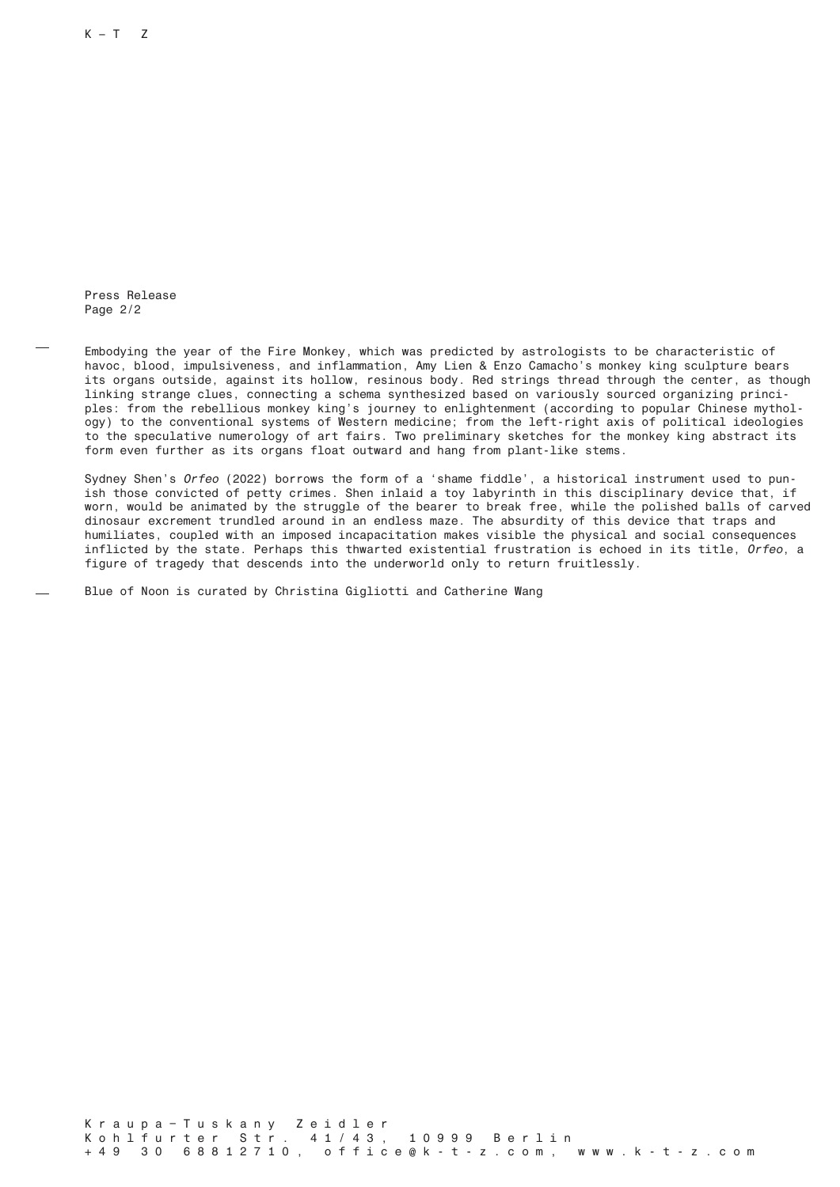$K - T$  Z

Press Release Page 2/2

Embodying the year of the Fire Monkey, which was predicted by astrologists to be characteristic of havoc, blood, impulsiveness, and inflammation, Amy Lien & Enzo Camacho's monkey king sculpture bears its organs outside, against its hollow, resinous body. Red strings thread through the center, as though linking strange clues, connecting a schema synthesized based on variously sourced organizing principles: from the rebellious monkey king's journey to enlightenment (according to popular Chinese mythology) to the conventional systems of Western medicine; from the left-right axis of political ideologies to the speculative numerology of art fairs. Two preliminary sketches for the monkey king abstract its form even further as its organs float outward and hang from plant-like stems.

Sydney Shen's Orfeo (2022) borrows the form of a 'shame fiddle', a historical instrument used to punish those convicted of petty crimes. Shen inlaid a toy labyrinth in this disciplinary device that, if worn, would be animated by the struggle of the bearer to break free, while the polished balls of carved dinosaur excrement trundled around in an endless maze. The absurdity of this device that traps and humiliates, coupled with an imposed incapacitation makes visible the physical and social consequences inflicted by the state. Perhaps this thwarted existential frustration is echoed in its title, Orfeo, a figure of tragedy that descends into the underworld only to return fruitlessly.

Blue of Noon is curated by Christina Gigliotti and Catherine Wang

Kraupa – Tuskany Zeidler Kohlfurter Str. 41/43, 10999 Berlin +49 30 68812710, office@k-t-z.com, www.k-t-z.com